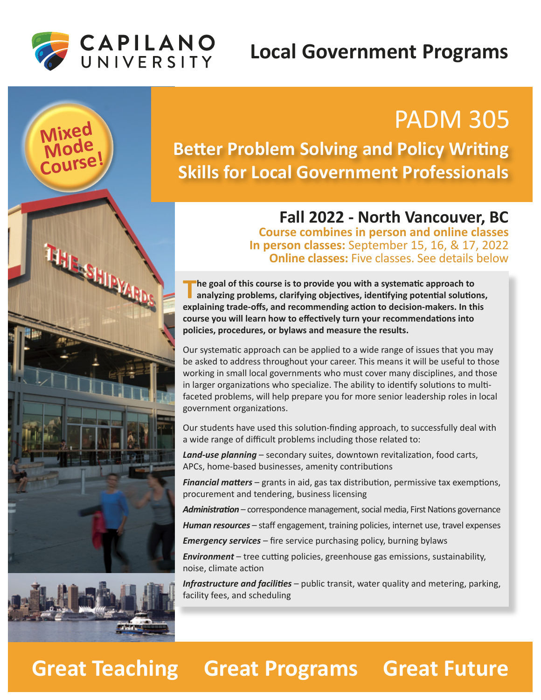### **Local Government Programs**



**ASHIPARDS** 

**Mode Course!**

# PADM 305 **Mixed**

### **Better Problem Solving and Policy Writing Skills for Local Government Professionals**

#### **Fall 2022 - North Vancouver, BC Course combines in person and online classes**

**In person classes:** September 15, 16, & 17, 2022 **Online classes:** Five classes. See details below

The goal of this course is to provide you with a systematic approach to<br>
analyzing problems, clarifying objectives, identifying potential solutions, explaining trade-offs, and recommending action to decision-makers. In this course you will learn how to effectively turn your recommendations into **policies, procedures, or bylaws and measure the results.**

Our systematic approach can be applied to a wide range of issues that you may be asked to address throughout your career. This means it will be useful to those working in small local governments who must cover many disciplines, and those in larger organizations who specialize. The ability to identify solutions to multifaceted problems, will help prepare you for more senior leadership roles in local government organizations.

Our students have used this solution-finding approach, to successfully deal with a wide range of difficult problems including those related to:

**Land-use planning** – secondary suites, downtown revitalization, food carts, APCs, home-based businesses, amenity contributions

*Financial matters* – grants in aid, gas tax distribution, permissive tax exemptions, procurement and tendering, business licensing

Administration – correspondence management, social media, First Nations governance

*Human resources* – staff engagement, training policies, internet use, travel expenses

*Emergency services* – fire service purchasing policy, burning bylaws

**Environment** – tree cutting policies, greenhouse gas emissions, sustainability, noise, climate action

*Infrastructure and facili�es* – public transit, water quality and metering, parking, facility fees, and scheduling

# **Great Teaching Great Programs Great Future**